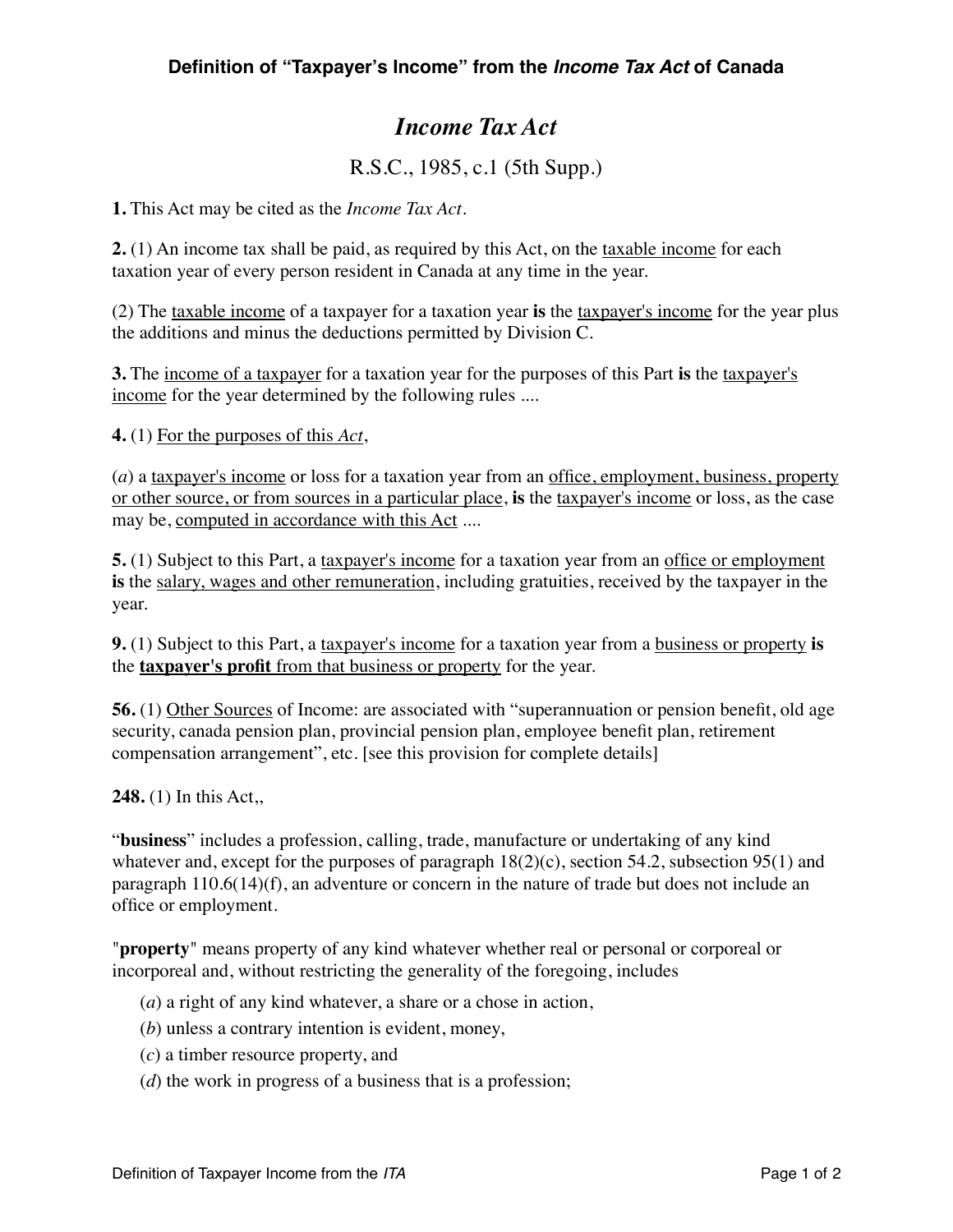## *Income Tax Act*

R.S.C., 1985, c.1 (5th Supp.)

**1.** This Act may be cited as the *Income Tax Act*.

**2.** (1) An income tax shall be paid, as required by this Act, on the taxable income for each taxation year of every person resident in Canada at any time in the year.

(2) The taxable income of a taxpayer for a taxation year **is** the taxpayer's income for the year plus the additions and minus the deductions permitted by Division C.

**3.** The income of a taxpayer for a taxation year for the purposes of this Part **is** the taxpayer's income for the year determined by the following rules ....

**4.** (1) For the purposes of this *Act*,

(*a*) a taxpayer's income or loss for a taxation year from an office, employment, business, property or other source, or from sources in a particular place, **is** the taxpayer's income or loss, as the case may be, computed in accordance with this Act ....

**5.** (1) Subject to this Part, a taxpayer's income for a taxation year from an office or employment **is** the salary, wages and other remuneration, including gratuities, received by the taxpayer in the year.

**9.** (1) Subject to this Part, a taxpayer's income for a taxation year from a business or property **is** the **taxpayer's profit** from that business or property for the year.

**56.** (1) Other Sources of Income: are associated with "superannuation or pension benefit, old age security, canada pension plan, provincial pension plan, employee benefit plan, retirement compensation arrangement", etc. [see this provision for complete details]

**248.** (1) In this Act,,

"**business**" includes a profession, calling, trade, manufacture or undertaking of any kind whatever and, except for the purposes of paragraph  $18(2)(c)$ , section 54.2, subsection 95(1) and paragraph 110.6(14)(f), an adventure or concern in the nature of trade but does not include an office or employment.

"**property**" means property of any kind whatever whether real or personal or corporeal or incorporeal and, without restricting the generality of the foregoing, includes

(*a*) a right of any kind whatever, a share or a chose in action,

- (*b*) unless a contrary intention is evident, money,
- (*c*) a timber resource property, and
- (*d*) the work in progress of a business that is a profession;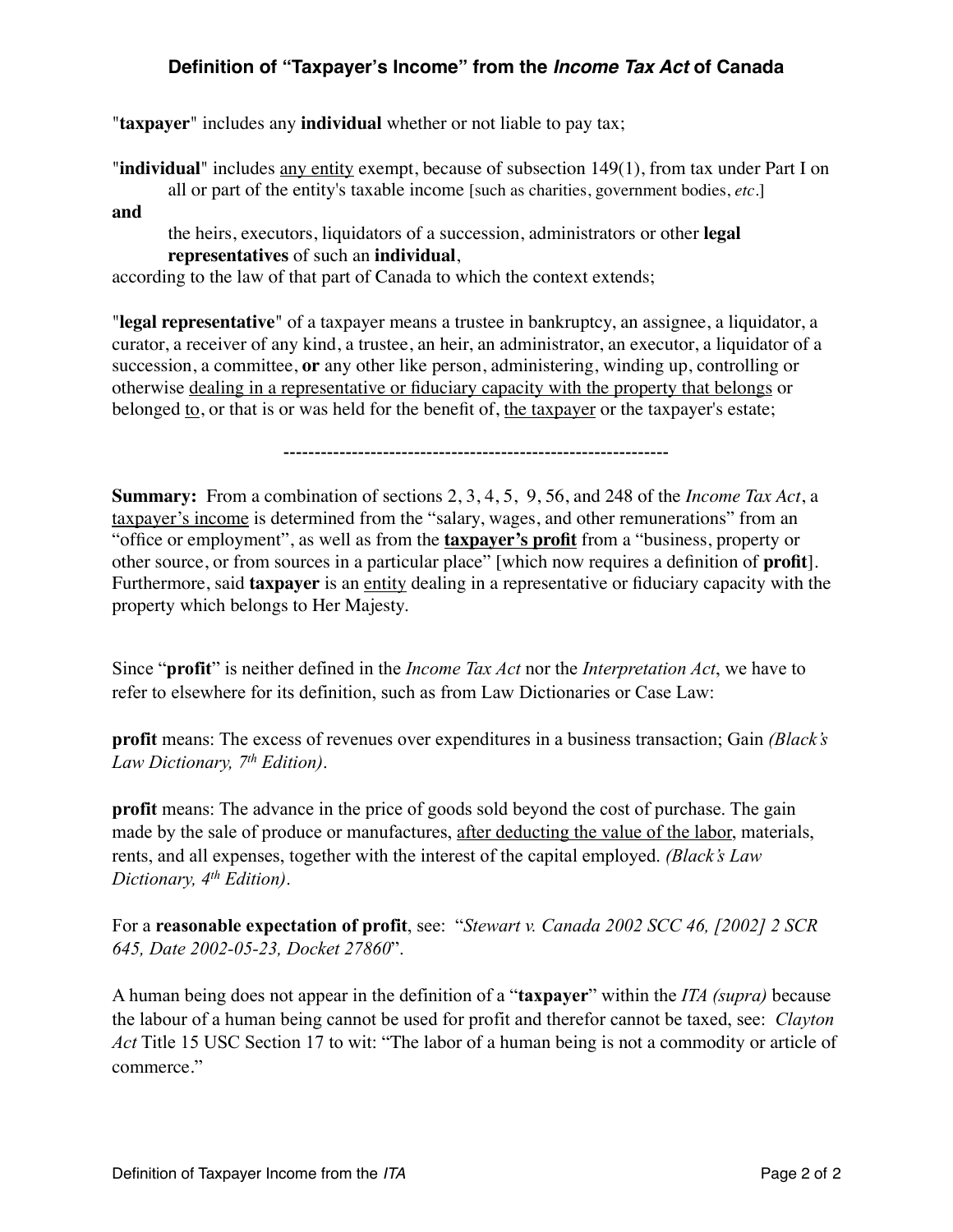## **Definition of "Taxpayer's Income" from the** *Income Tax Act* **of Canada**

"**taxpayer**" includes any **individual** whether or not liable to pay tax;

"**individual**" includes any entity exempt, because of subsection 149(1), from tax under Part I on all or part of the entity's taxable income [such as charities, government bodies, *etc*.]

**and**

the heirs, executors, liquidators of a succession, administrators or other **legal representatives** of such an **individual**,

according to the law of that part of Canada to which the context extends;

"**legal representative**" of a taxpayer means a trustee in bankruptcy, an assignee, a liquidator, a curator, a receiver of any kind, a trustee, an heir, an administrator, an executor, a liquidator of a succession, a committee, **or** any other like person, administering, winding up, controlling or otherwise dealing in a representative or fiduciary capacity with the property that belongs or belonged to, or that is or was held for the benefit of, the taxpayer or the taxpayer's estate;

--------------------------------------------------------------

**Summary:** From a combination of sections 2, 3, 4, 5, 9, 56, and 248 of the *Income Tax Act*, a taxpayer's income is determined from the "salary, wages, and other remunerations" from an "office or employment", as well as from the **taxpayer's profit** from a "business, property or other source, or from sources in a particular place" [which now requires a definition of **profit**]. Furthermore, said **taxpayer** is an entity dealing in a representative or fiduciary capacity with the property which belongs to Her Majesty.

Since "**profit**" is neither defined in the *Income Tax Act* nor the *Interpretation Act*, we have to refer to elsewhere for its definition, such as from Law Dictionaries or Case Law:

**profit** means: The excess of revenues over expenditures in a business transaction; Gain *(Black's Law Dictionary, 7th Edition)*.

**profit** means: The advance in the price of goods sold beyond the cost of purchase. The gain made by the sale of produce or manufactures, after deducting the value of the labor, materials, rents, and all expenses, together with the interest of the capital employed. *(Black's Law Dictionary, 4th Edition)*.

For a **reasonable expectation of profit**, see: "*Stewart v. Canada 2002 SCC 46, [2002] 2 SCR 645, Date 2002-05-23, Docket 27860*".

A human being does not appear in the definition of a "**taxpayer**" within the *ITA (supra)* because the labour of a human being cannot be used for profit and therefor cannot be taxed, see: *Clayton Act* Title 15 USC Section 17 to wit: "The labor of a human being is not a commodity or article of commerce."